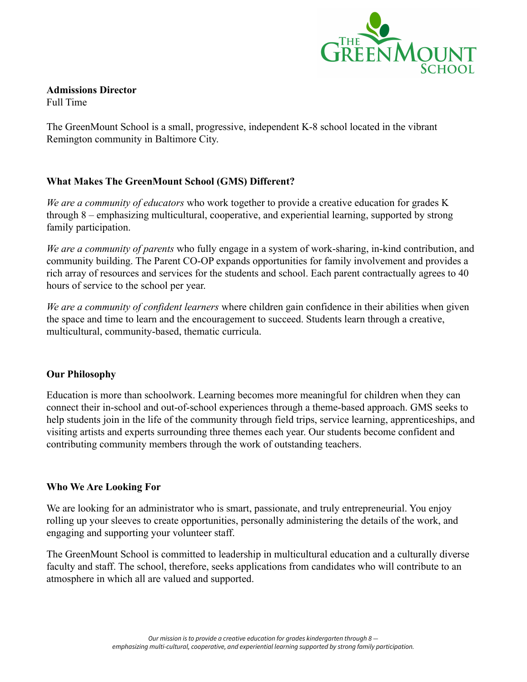

**Admissions Director** Full Time

The GreenMount School is a small, progressive, independent K-8 school located in the vibrant Remington community in Baltimore City.

# **What Makes The GreenMount School (GMS) Different?**

*We are a community of educators* who work together to provide a creative education for grades K through 8 – emphasizing multicultural, cooperative, and experiential learning, supported by strong family participation.

*We are a community of parents* who fully engage in a system of work-sharing, in-kind contribution, and community building. The Parent CO-OP expands opportunities for family involvement and provides a rich array of resources and services for the students and school. Each parent contractually agrees to 40 hours of service to the school per year.

*We are a community of confident learners* where children gain confidence in their abilities when given the space and time to learn and the encouragement to succeed. Students learn through a creative, multicultural, community-based, thematic curricula.

# **Our Philosophy**

Education is more than schoolwork. Learning becomes more meaningful for children when they can connect their in-school and out-of-school experiences through a theme-based approach. GMS seeks to help students join in the life of the community through field trips, service learning, apprenticeships, and visiting artists and experts surrounding three themes each year. Our students become confident and contributing community members through the work of outstanding teachers.

# **Who We Are Looking For**

We are looking for an administrator who is smart, passionate, and truly entrepreneurial. You enjoy rolling up your sleeves to create opportunities, personally administering the details of the work, and engaging and supporting your volunteer staff.

The GreenMount School is committed to leadership in multicultural education and a culturally diverse faculty and staff. The school, therefore, seeks applications from candidates who will contribute to an atmosphere in which all are valued and supported.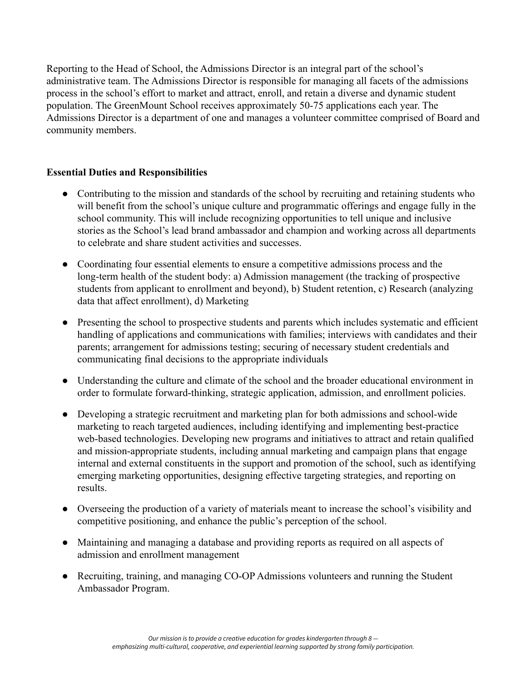Reporting to the Head of School, the Admissions Director is an integral part of the school's administrative team. The Admissions Director is responsible for managing all facets of the admissions process in the school's effort to market and attract, enroll, and retain a diverse and dynamic student population. The GreenMount School receives approximately 50-75 applications each year. The Admissions Director is a department of one and manages a volunteer committee comprised of Board and community members.

# **Essential Duties and Responsibilities**

- Contributing to the mission and standards of the school by recruiting and retaining students who will benefit from the school's unique culture and programmatic offerings and engage fully in the school community. This will include recognizing opportunities to tell unique and inclusive stories as the School's lead brand ambassador and champion and working across all departments to celebrate and share student activities and successes.
- Coordinating four essential elements to ensure a competitive admissions process and the long-term health of the student body: a) Admission management (the tracking of prospective students from applicant to enrollment and beyond), b) Student retention, c) Research (analyzing data that affect enrollment), d) Marketing
- Presenting the school to prospective students and parents which includes systematic and efficient handling of applications and communications with families; interviews with candidates and their parents; arrangement for admissions testing; securing of necessary student credentials and communicating final decisions to the appropriate individuals
- Understanding the culture and climate of the school and the broader educational environment in order to formulate forward-thinking, strategic application, admission, and enrollment policies.
- Developing a strategic recruitment and marketing plan for both admissions and school-wide marketing to reach targeted audiences, including identifying and implementing best-practice web-based technologies. Developing new programs and initiatives to attract and retain qualified and mission-appropriate students, including annual marketing and campaign plans that engage internal and external constituents in the support and promotion of the school, such as identifying emerging marketing opportunities, designing effective targeting strategies, and reporting on results.
- Overseeing the production of a variety of materials meant to increase the school's visibility and competitive positioning, and enhance the public's perception of the school.
- Maintaining and managing a database and providing reports as required on all aspects of admission and enrollment management
- Recruiting, training, and managing CO-OP Admissions volunteers and running the Student Ambassador Program.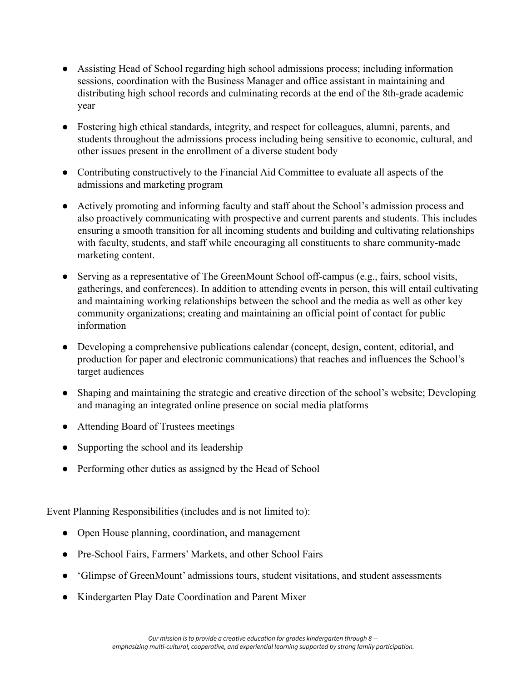- Assisting Head of School regarding high school admissions process; including information sessions, coordination with the Business Manager and office assistant in maintaining and distributing high school records and culminating records at the end of the 8th-grade academic year
- Fostering high ethical standards, integrity, and respect for colleagues, alumni, parents, and students throughout the admissions process including being sensitive to economic, cultural, and other issues present in the enrollment of a diverse student body
- Contributing constructively to the Financial Aid Committee to evaluate all aspects of the admissions and marketing program
- Actively promoting and informing faculty and staff about the School's admission process and also proactively communicating with prospective and current parents and students. This includes ensuring a smooth transition for all incoming students and building and cultivating relationships with faculty, students, and staff while encouraging all constituents to share community-made marketing content.
- Serving as a representative of The GreenMount School off-campus (e.g., fairs, school visits, gatherings, and conferences). In addition to attending events in person, this will entail cultivating and maintaining working relationships between the school and the media as well as other key community organizations; creating and maintaining an official point of contact for public information
- Developing a comprehensive publications calendar (concept, design, content, editorial, and production for paper and electronic communications) that reaches and influences the School's target audiences
- Shaping and maintaining the strategic and creative direction of the school's website; Developing and managing an integrated online presence on social media platforms
- Attending Board of Trustees meetings
- Supporting the school and its leadership
- Performing other duties as assigned by the Head of School

Event Planning Responsibilities (includes and is not limited to):

- Open House planning, coordination, and management
- Pre-School Fairs, Farmers' Markets, and other School Fairs
- 'Glimpse of GreenMount' admissions tours, student visitations, and student assessments
- Kindergarten Play Date Coordination and Parent Mixer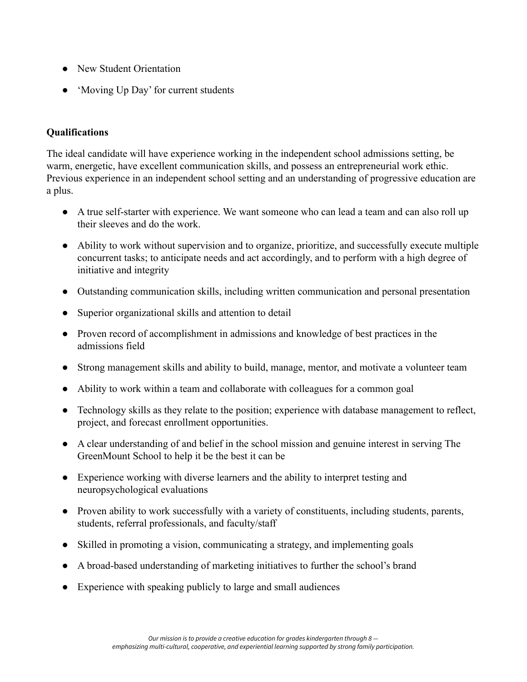- New Student Orientation
- 'Moving Up Day' for current students

# **Qualifications**

The ideal candidate will have experience working in the independent school admissions setting, be warm, energetic, have excellent communication skills, and possess an entrepreneurial work ethic. Previous experience in an independent school setting and an understanding of progressive education are a plus.

- A true self-starter with experience. We want someone who can lead a team and can also roll up their sleeves and do the work.
- Ability to work without supervision and to organize, prioritize, and successfully execute multiple concurrent tasks; to anticipate needs and act accordingly, and to perform with a high degree of initiative and integrity
- Outstanding communication skills, including written communication and personal presentation
- Superior organizational skills and attention to detail
- Proven record of accomplishment in admissions and knowledge of best practices in the admissions field
- Strong management skills and ability to build, manage, mentor, and motivate a volunteer team
- Ability to work within a team and collaborate with colleagues for a common goal
- Technology skills as they relate to the position; experience with database management to reflect, project, and forecast enrollment opportunities.
- A clear understanding of and belief in the school mission and genuine interest in serving The GreenMount School to help it be the best it can be
- Experience working with diverse learners and the ability to interpret testing and neuropsychological evaluations
- Proven ability to work successfully with a variety of constituents, including students, parents, students, referral professionals, and faculty/staff
- Skilled in promoting a vision, communicating a strategy, and implementing goals
- A broad-based understanding of marketing initiatives to further the school's brand
- Experience with speaking publicly to large and small audiences